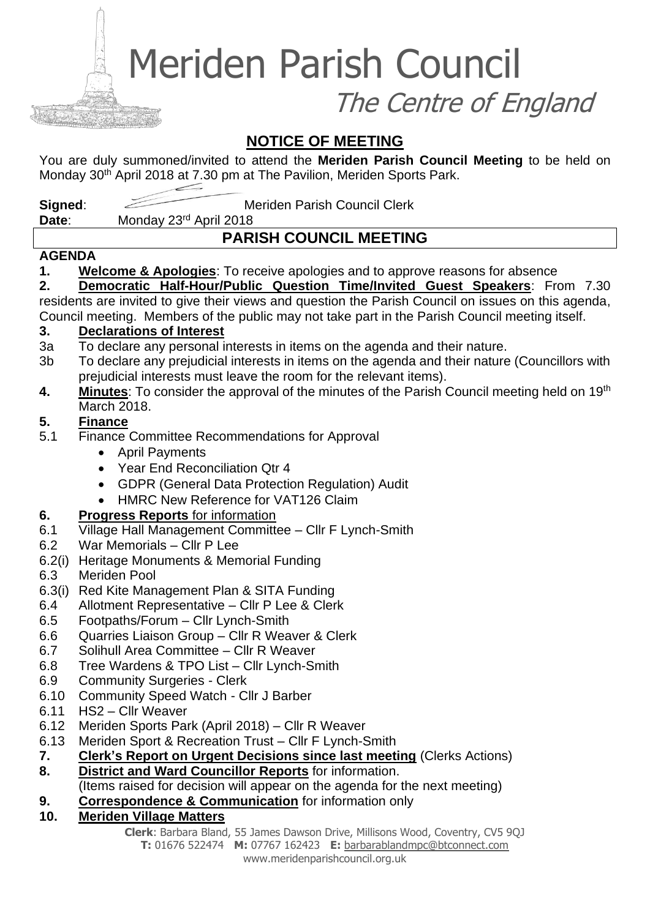Meriden Parish Council

The Centre of England

# **NOTICE OF MEETING**

You are duly summoned/invited to attend the **Meriden Parish Council Meeting** to be held on Monday 30<sup>th</sup> April 2018 at 7.30 pm at The Pavilion, Meriden Sports Park.

**Signed:** Meriden Parish Council Clerk

Date: Monday 23<sup>rd</sup> April 2018

# **PARISH COUNCIL MEETING**

#### **AGENDA**

**1. Welcome & Apologies**: To receive apologies and to approve reasons for absence

**2. Democratic Half-Hour/Public Question Time/Invited Guest Speakers**: From 7.30 residents are invited to give their views and question the Parish Council on issues on this agenda, Council meeting. Members of the public may not take part in the Parish Council meeting itself.

#### **3. Declarations of Interest**

- 3a To declare any personal interests in items on the agenda and their nature.
- 3b To declare any prejudicial interests in items on the agenda and their nature (Councillors with prejudicial interests must leave the room for the relevant items).
- **4. Minutes**: To consider the approval of the minutes of the Parish Council meeting held on 19th March 2018.

## **5. Finance**

- 5.1 Finance Committee Recommendations for Approval
	- April Payments
	- Year End Reconciliation Qtr 4
	- GDPR (General Data Protection Regulation) Audit
	- HMRC New Reference for VAT126 Claim

## **6. Progress Reports** for information

- 6.1 Village Hall Management Committee Cllr F Lynch-Smith
- 6.2 War Memorials Cllr P Lee
- 6.2(i) Heritage Monuments & Memorial Funding
- 6.3 Meriden Pool
- 6.3(i) Red Kite Management Plan & SITA Funding
- 6.4 Allotment Representative Cllr P Lee & Clerk
- 6.5 Footpaths/Forum Cllr Lynch-Smith
- 6.6 Quarries Liaison Group Cllr R Weaver & Clerk
- 6.7 Solihull Area Committee Cllr R Weaver
- 6.8 Tree Wardens & TPO List Cllr Lynch-Smith
- 6.9 Community Surgeries Clerk
- 6.10 Community Speed Watch Cllr J Barber
- 6.11 HS2 Cllr Weaver
- 6.12 Meriden Sports Park (April 2018) Cllr R Weaver
- 6.13 Meriden Sport & Recreation Trust Cllr F Lynch-Smith
- **7. Clerk's Report on Urgent Decisions since last meeting** (Clerks Actions)
- **8. District and Ward Councillor Reports** for information.
	- (Items raised for decision will appear on the agenda for the next meeting)
- **9. Correspondence & Communication** for information only
- **10. Meriden Village Matters**

**Clerk**: Barbara Bland, 55 James Dawson Drive, Millisons Wood, Coventry, CV5 9QJ **T:** 01676 522474 **M:** 07767 162423 **E:** [barbarablandmpc@btconnect.com](mailto:barbarablandmpc@btconnect.com) www.meridenparishcouncil.org.uk